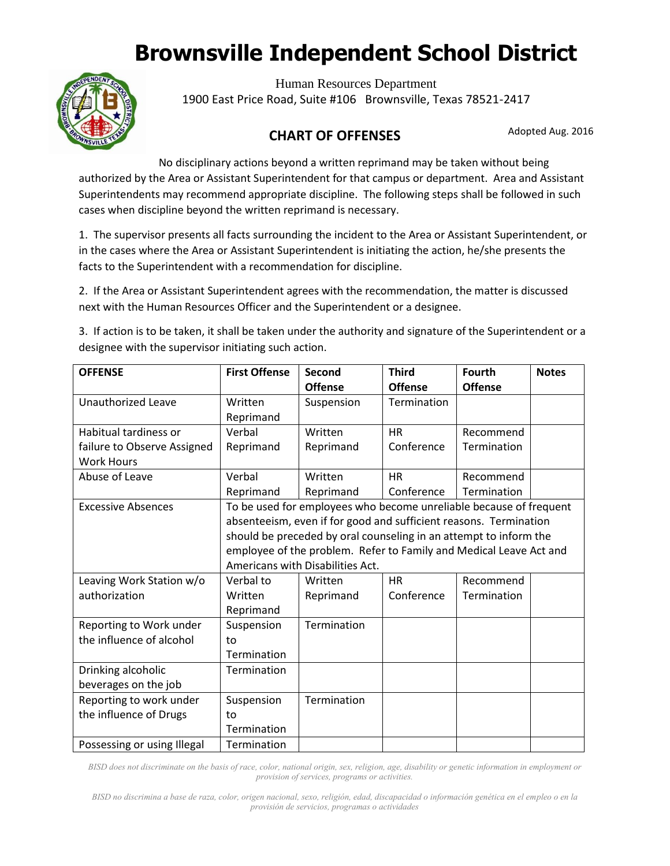

Human Resources Department 1900 East Price Road, Suite #106 Brownsville, Texas 78521-2417

#### Adopted Aug. 2016 **CHART OF OFFENSES**

No disciplinary actions beyond a written reprimand may be taken without being authorized by the Area or Assistant Superintendent for that campus or department. Area and Assistant Superintendents may recommend appropriate discipline. The following steps shall be followed in such cases when discipline beyond the written reprimand is necessary.

in the cases where the Area or Assistant Superintendent is initiating the action, he/she presents the 1. The supervisor presents all facts surrounding the incident to the Area or Assistant Superintendent, or facts to the Superintendent with a recommendation for discipline.

2. If the Area or Assistant Superintendent agrees with the recommendation, the matter is discussed next with the Human Resources Officer and the Superintendent or a designee.

3. If action is to be taken, it shall be taken under the authority and signature of the Superintendent or a designee with the supervisor initiating such action.

| <b>OFFENSE</b>              | <b>First Offense</b>                                               | Second         | <b>Third</b>   | <b>Fourth</b>  | <b>Notes</b> |  |
|-----------------------------|--------------------------------------------------------------------|----------------|----------------|----------------|--------------|--|
|                             |                                                                    | <b>Offense</b> | <b>Offense</b> | <b>Offense</b> |              |  |
| <b>Unauthorized Leave</b>   | Written                                                            | Suspension     | Termination    |                |              |  |
|                             | Reprimand                                                          |                |                |                |              |  |
| Habitual tardiness or       | Verbal                                                             | Written        | <b>HR</b>      | Recommend      |              |  |
| failure to Observe Assigned | Reprimand                                                          | Reprimand      | Conference     | Termination    |              |  |
| <b>Work Hours</b>           |                                                                    |                |                |                |              |  |
| Abuse of Leave              | Verbal                                                             | Written        | <b>HR</b>      | Recommend      |              |  |
|                             | Reprimand                                                          | Reprimand      | Conference     | Termination    |              |  |
| <b>Excessive Absences</b>   | To be used for employees who become unreliable because of frequent |                |                |                |              |  |
|                             | absenteeism, even if for good and sufficient reasons. Termination  |                |                |                |              |  |
|                             | should be preceded by oral counseling in an attempt to inform the  |                |                |                |              |  |
|                             | employee of the problem. Refer to Family and Medical Leave Act and |                |                |                |              |  |
|                             | Americans with Disabilities Act.                                   |                |                |                |              |  |
| Leaving Work Station w/o    | Verbal to                                                          | Written        | <b>HR</b>      | Recommend      |              |  |
| authorization               | Written                                                            | Reprimand      | Conference     | Termination    |              |  |
|                             | Reprimand                                                          |                |                |                |              |  |
| Reporting to Work under     | Suspension                                                         | Termination    |                |                |              |  |
| the influence of alcohol    | to                                                                 |                |                |                |              |  |
|                             | Termination                                                        |                |                |                |              |  |
| Drinking alcoholic          | Termination                                                        |                |                |                |              |  |
| beverages on the job        |                                                                    |                |                |                |              |  |
| Reporting to work under     | Suspension                                                         | Termination    |                |                |              |  |
| the influence of Drugs      | to                                                                 |                |                |                |              |  |
|                             | Termination                                                        |                |                |                |              |  |
| Possessing or using Illegal | Termination                                                        |                |                |                |              |  |

*BISD does not discriminate on the basis of race, color, national origin, sex, religion, age, disability or genetic information in employment or provision of services, programs or activities.*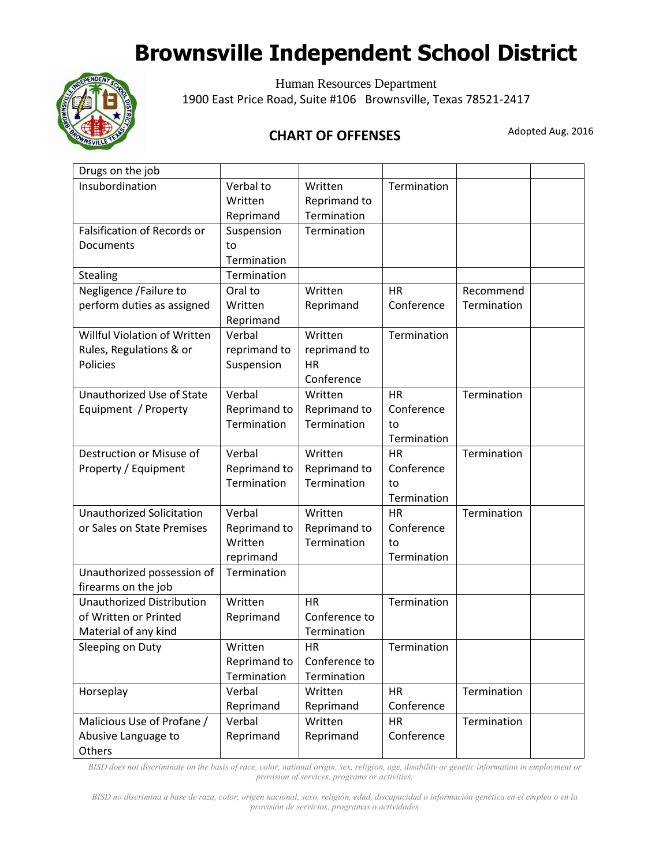

Human Resources Department 1900 East Price Road, Suite #106 Brownsville, Texas 78521-2417

#### Adopted Aug. 2016 **CHART OF OFFENSES**

| Drugs on the job                 |              |               |             |             |  |
|----------------------------------|--------------|---------------|-------------|-------------|--|
| Insubordination                  | Verbal to    | Written       | Termination |             |  |
|                                  | Written      | Reprimand to  |             |             |  |
|                                  | Reprimand    | Termination   |             |             |  |
| Falsification of Records or      | Suspension   | Termination   |             |             |  |
| Documents                        | to           |               |             |             |  |
|                                  | Termination  |               |             |             |  |
| Stealing                         | Termination  |               |             |             |  |
| Negligence /Failure to           | Oral to      | Written       | <b>HR</b>   | Recommend   |  |
| perform duties as assigned       | Written      | Reprimand     | Conference  | Termination |  |
|                                  | Reprimand    |               |             |             |  |
| Willful Violation of Written     | Verbal       | Written       | Termination |             |  |
| Rules, Regulations & or          | reprimand to | reprimand to  |             |             |  |
| Policies                         | Suspension   | <b>HR</b>     |             |             |  |
|                                  |              | Conference    |             |             |  |
| Unauthorized Use of State        | Verbal       | Written       | <b>HR</b>   | Termination |  |
| Equipment / Property             | Reprimand to | Reprimand to  | Conference  |             |  |
|                                  | Termination  | Termination   | to          |             |  |
|                                  |              |               | Termination |             |  |
| Destruction or Misuse of         | Verbal       | Written       | <b>HR</b>   | Termination |  |
| Property / Equipment             | Reprimand to | Reprimand to  | Conference  |             |  |
|                                  | Termination  | Termination   | to          |             |  |
|                                  |              |               | Termination |             |  |
| <b>Unauthorized Solicitation</b> | Verbal       | Written       | <b>HR</b>   | Termination |  |
| or Sales on State Premises       | Reprimand to | Reprimand to  | Conference  |             |  |
|                                  | Written      | Termination   | to          |             |  |
|                                  | reprimand    |               | Termination |             |  |
| Unauthorized possession of       | Termination  |               |             |             |  |
| firearms on the job              |              |               |             |             |  |
| <b>Unauthorized Distribution</b> | Written      | <b>HR</b>     | Termination |             |  |
| of Written or Printed            | Reprimand    | Conference to |             |             |  |
| Material of any kind             |              | Termination   |             |             |  |
| Sleeping on Duty                 | Written      | <b>HR</b>     | Termination |             |  |
|                                  | Reprimand to | Conference to |             |             |  |
|                                  | Termination  | Termination   |             |             |  |
| Horseplay                        | Verbal       | Written       | <b>HR</b>   | Termination |  |
|                                  | Reprimand    | Reprimand     | Conference  |             |  |
| Malicious Use of Profane /       | Verbal       | Written       | <b>HR</b>   | Termination |  |
| Abusive Language to              | Reprimand    | Reprimand     | Conference  |             |  |
| Others                           |              |               |             |             |  |

*BISD does not discriminate on the basis of race, color, national origin, sex, religion, age, disability or genetic information in employment or provision of services, programs or activities.*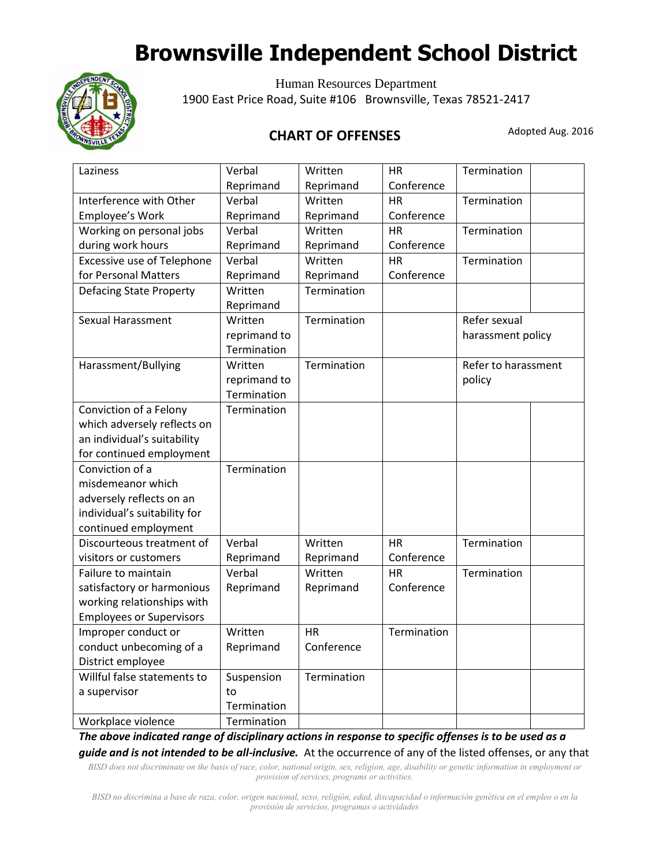

Human Resources Department 1900 East Price Road, Suite #106 Brownsville, Texas 78521-2417

#### Adopted Aug. 2016 **CHART OF OFFENSES**

| Laziness                        | Verbal       | Written     | <b>HR</b>   | Termination         |  |
|---------------------------------|--------------|-------------|-------------|---------------------|--|
|                                 | Reprimand    | Reprimand   | Conference  |                     |  |
| Interference with Other         | Verbal       | Written     | <b>HR</b>   | Termination         |  |
| Employee's Work                 | Reprimand    | Reprimand   | Conference  |                     |  |
| Working on personal jobs        | Verbal       | Written     | <b>HR</b>   | Termination         |  |
| during work hours               | Reprimand    | Reprimand   | Conference  |                     |  |
| Excessive use of Telephone      | Verbal       | Written     | <b>HR</b>   | Termination         |  |
| for Personal Matters            | Reprimand    | Reprimand   | Conference  |                     |  |
| <b>Defacing State Property</b>  | Written      | Termination |             |                     |  |
|                                 | Reprimand    |             |             |                     |  |
| Sexual Harassment               | Written      | Termination |             | Refer sexual        |  |
|                                 | reprimand to |             |             | harassment policy   |  |
|                                 | Termination  |             |             |                     |  |
| Harassment/Bullying             | Written      | Termination |             | Refer to harassment |  |
|                                 | reprimand to |             |             | policy              |  |
|                                 | Termination  |             |             |                     |  |
| Conviction of a Felony          | Termination  |             |             |                     |  |
| which adversely reflects on     |              |             |             |                     |  |
| an individual's suitability     |              |             |             |                     |  |
| for continued employment        |              |             |             |                     |  |
| Conviction of a                 | Termination  |             |             |                     |  |
| misdemeanor which               |              |             |             |                     |  |
| adversely reflects on an        |              |             |             |                     |  |
| individual's suitability for    |              |             |             |                     |  |
| continued employment            |              |             |             |                     |  |
| Discourteous treatment of       | Verbal       | Written     | <b>HR</b>   | Termination         |  |
| visitors or customers           | Reprimand    | Reprimand   | Conference  |                     |  |
| Failure to maintain             | Verbal       | Written     | <b>HR</b>   | Termination         |  |
| satisfactory or harmonious      | Reprimand    | Reprimand   | Conference  |                     |  |
| working relationships with      |              |             |             |                     |  |
| <b>Employees or Supervisors</b> |              |             |             |                     |  |
| Improper conduct or             | Written      | <b>HR</b>   | Termination |                     |  |
| conduct unbecoming of a         | Reprimand    | Conference  |             |                     |  |
| District employee               |              |             |             |                     |  |
| Willful false statements to     | Suspension   | Termination |             |                     |  |
| a supervisor                    | to           |             |             |                     |  |
|                                 | Termination  |             |             |                     |  |
| Workplace violence              | Termination  |             |             |                     |  |

*The above indicated range of disciplinary actions in response to specific offenses is to be used as a guide and is not intended to be all-inclusive.* At the occurrence of any of the listed offenses, or any that

*BISD does not discriminate on the basis of race, color, national origin, sex, religion, age, disability or genetic information in employment or provision of services, programs or activities.*